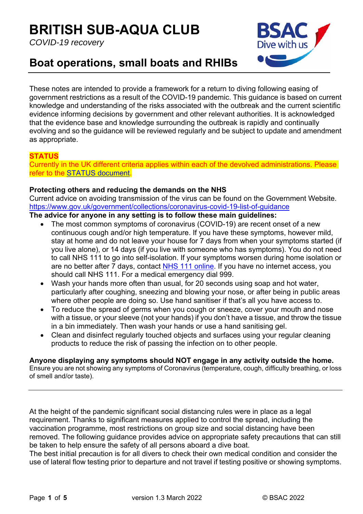# **BRITISH SUB-AQUA CLUB**

*COVID-19 recovery* 



# **Boat operations, small boats and RHIBs**

These notes are intended to provide a framework for a return to diving following easing of government restrictions as a result of the COVID-19 pandemic. This guidance is based on current knowledge and understanding of the risks associated with the outbreak and the current scientific evidence informing decisions by government and other relevant authorities. It is acknowledged that the evidence base and knowledge surrounding the outbreak is rapidly and continually evolving and so the guidance will be reviewed regularly and be subject to update and amendment as appropriate.

# **STATUS**

Currently in the UK different criteria applies within each of the devolved administrations. Please refer to the STATUS document.

# **Protecting others and reducing the demands on the NHS**

Current advice on avoiding transmission of the virus can be found on the Government Website. https://www.gov.uk/government/collections/coronavirus-covid-19-list-of-guidance

#### **The advice for anyone in any setting is to follow these main guidelines:**

- The most common symptoms of coronavirus (COVID-19) are recent onset of a new continuous cough and/or high temperature. If you have these symptoms, however mild, stay at home and do not leave your house for 7 days from when your symptoms started (if you live alone), or 14 days (if you live with someone who has symptoms). You do not need to call NHS 111 to go into self-isolation. If your symptoms worsen during home isolation or are no better after 7 days, contact NHS 111 online. If you have no internet access, you should call NHS 111. For a medical emergency dial 999.
- Wash your hands more often than usual, for 20 seconds using soap and hot water, particularly after coughing, sneezing and blowing your nose, or after being in public areas where other people are doing so. Use hand sanitiser if that's all you have access to.
- To reduce the spread of germs when you cough or sneeze, cover your mouth and nose with a tissue, or your sleeve (not your hands) if you don't have a tissue, and throw the tissue in a bin immediately. Then wash your hands or use a hand sanitising gel.
- Clean and disinfect regularly touched objects and surfaces using your regular cleaning products to reduce the risk of passing the infection on to other people.

# **Anyone displaying any symptoms should NOT engage in any activity outside the home.**

Ensure you are not showing any symptoms of Coronavirus (temperature, cough, difficulty breathing, or loss of smell and/or taste).

At the height of the pandemic significant social distancing rules were in place as a legal requirement. Thanks to significant measures applied to control the spread, including the vaccination programme, most restrictions on group size and social distancing have been removed. The following guidance provides advice on appropriate safety precautions that can still be taken to help ensure the safety of all persons aboard a dive boat.

The best initial precaution is for all divers to check their own medical condition and consider the use of lateral flow testing prior to departure and not travel if testing positive or showing symptoms.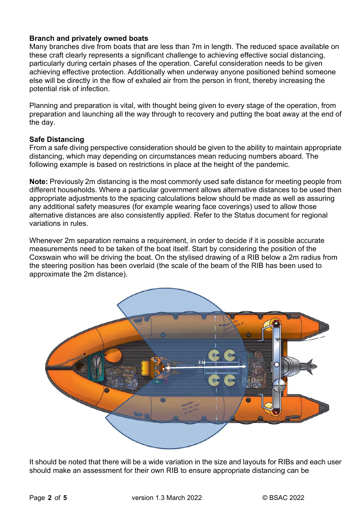#### **Branch and privately owned boats**

Many branches dive from boats that are less than 7m in length. The reduced space available on these craft clearly represents a significant challenge to achieving effective social distancing, particularly during certain phases of the operation. Careful consideration needs to be given achieving effective protection. Additionally when underway anyone positioned behind someone else will be directly in the flow of exhaled air from the person in front, thereby increasing the potential risk of infection.

Planning and preparation is vital, with thought being given to every stage of the operation, from preparation and launching all the way through to recovery and putting the boat away at the end of the day.

#### **Safe Distancing**

From a safe diving perspective consideration should be given to the ability to maintain appropriate distancing, which may depending on circumstances mean reducing numbers aboard. The following example is based on restrictions in place at the height of the pandemic.

**Note:** Previously 2m distancing is the most commonly used safe distance for meeting people from different households. Where a particular government allows alternative distances to be used then appropriate adjustments to the spacing calculations below should be made as well as assuring any additional safety measures (for example wearing face coverings) used to allow those alternative distances are also consistently applied. Refer to the Status document for regional variations in rules.

Whenever 2m separation remains a requirement, in order to decide if it is possible accurate measurements need to be taken of the boat itself. Start by considering the position of the Coxswain who will be driving the boat. On the stylised drawing of a RIB below a 2m radius from the steering position has been overlaid (the scale of the beam of the RIB has been used to approximate the 2m distance).



It should be noted that there will be a wide variation in the size and layouts for RIBs and each user should make an assessment for their own RIB to ensure appropriate distancing can be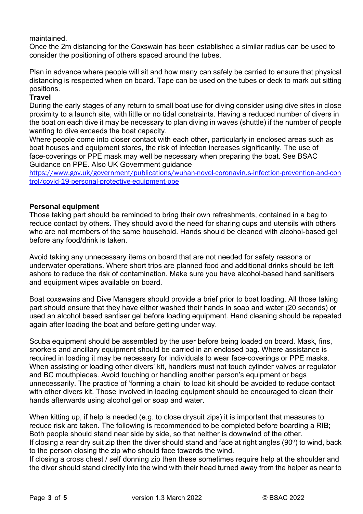maintained.

Once the 2m distancing for the Coxswain has been established a similar radius can be used to consider the positioning of others spaced around the tubes.

Plan in advance where people will sit and how many can safely be carried to ensure that physical distancing is respected when on board. Tape can be used on the tubes or deck to mark out sitting positions.

# **Travel**

During the early stages of any return to small boat use for diving consider using dive sites in close proximity to a launch site, with little or no tidal constraints. Having a reduced number of divers in the boat on each dive it may be necessary to plan diving in waves (shuttle) if the number of people wanting to dive exceeds the boat capacity.

Where people come into closer contact with each other, particularly in enclosed areas such as boat houses and equipment stores, the risk of infection increases significantly. The use of face-coverings or PPE mask may well be necessary when preparing the boat. See BSAC Guidance on PPE. Also UK Government guidance

https://www.gov.uk/government/publications/wuhan-novel-coronavirus-infection-prevention-and-con trol/covid-19-personal-protective-equipment-ppe

#### **Personal equipment**

Those taking part should be reminded to bring their own refreshments, contained in a bag to reduce contact by others. They should avoid the need for sharing cups and utensils with others who are not members of the same household. Hands should be cleaned with alcohol-based gel before any food/drink is taken.

Avoid taking any unnecessary items on board that are not needed for safety reasons or underwater operations. Where short trips are planned food and additional drinks should be left ashore to reduce the risk of contamination. Make sure you have alcohol-based hand sanitisers and equipment wipes available on board.

Boat coxswains and Dive Managers should provide a brief prior to boat loading. All those taking part should ensure that they have either washed their hands in soap and water (20 seconds) or used an alcohol based santiser gel before loading equipment. Hand cleaning should be repeated again after loading the boat and before getting under way.

Scuba equipment should be assembled by the user before being loaded on board. Mask, fins, snorkels and ancillary equipment should be carried in an enclosed bag. Where assistance is required in loading it may be necessary for individuals to wear face-coverings or PPE masks. When assisting or loading other divers' kit, handlers must not touch cylinder valves or regulator and BC mouthpieces. Avoid touching or handling another person's equipment or bags unnecessarily. The practice of 'forming a chain' to load kit should be avoided to reduce contact with other divers kit. Those involved in loading equipment should be encouraged to clean their hands afterwards using alcohol gel or soap and water.

When kitting up, if help is needed (e.g. to close drysuit zips) it is important that measures to reduce risk are taken. The following is recommended to be completed before boarding a RIB; Both people should stand near side by side, so that neither is downwind of the other. If closing a rear dry suit zip then the diver should stand and face at right angles (90 $\degree$ ) to wind, back

to the person closing the zip who should face towards the wind. If closing a cross chest / self donning zip then these sometimes require help at the shoulder and the diver should stand directly into the wind with their head turned away from the helper as near to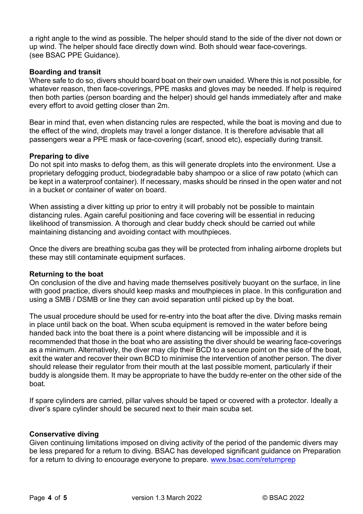a right angle to the wind as possible. The helper should stand to the side of the diver not down or up wind. The helper should face directly down wind. Both should wear face-coverings. (see BSAC PPE Guidance).

#### **Boarding and transit**

Where safe to do so, divers should board boat on their own unaided. Where this is not possible, for whatever reason, then face-coverings, PPE masks and gloves may be needed. If help is required then both parties (person boarding and the helper) should gel hands immediately after and make every effort to avoid getting closer than 2m.

Bear in mind that, even when distancing rules are respected, while the boat is moving and due to the effect of the wind, droplets may travel a longer distance. It is therefore advisable that all passengers wear a PPE mask or face-covering (scarf, snood etc), especially during transit.

#### **Preparing to dive**

Do not spit into masks to defog them, as this will generate droplets into the environment. Use a proprietary defogging product, biodegradable baby shampoo or a slice of raw potato (which can be kept in a waterproof container). If necessary, masks should be rinsed in the open water and not in a bucket or container of water on board.

When assisting a diver kitting up prior to entry it will probably not be possible to maintain distancing rules. Again careful positioning and face covering will be essential in reducing likelihood of transmission. A thorough and clear buddy check should be carried out while maintaining distancing and avoiding contact with mouthpieces.

Once the divers are breathing scuba gas they will be protected from inhaling airborne droplets but these may still contaminate equipment surfaces.

#### **Returning to the boat**

On conclusion of the dive and having made themselves positively buoyant on the surface, in line with good practice, divers should keep masks and mouthpieces in place. In this configuration and using a SMB / DSMB or line they can avoid separation until picked up by the boat.

The usual procedure should be used for re-entry into the boat after the dive. Diving masks remain in place until back on the boat. When scuba equipment is removed in the water before being handed back into the boat there is a point where distancing will be impossible and it is recommended that those in the boat who are assisting the diver should be wearing face-coverings as a minimum. Alternatively, the diver may clip their BCD to a secure point on the side of the boat, exit the water and recover their own BCD to minimise the intervention of another person. The diver should release their regulator from their mouth at the last possible moment, particularly if their buddy is alongside them. It may be appropriate to have the buddy re-enter on the other side of the boat.

If spare cylinders are carried, pillar valves should be taped or covered with a protector. Ideally a diver's spare cylinder should be secured next to their main scuba set.

#### **Conservative diving**

Given continuing limitations imposed on diving activity of the period of the pandemic divers may be less prepared for a return to diving. BSAC has developed significant guidance on Preparation for a return to diving to encourage everyone to prepare. www.bsac.com/returnprep